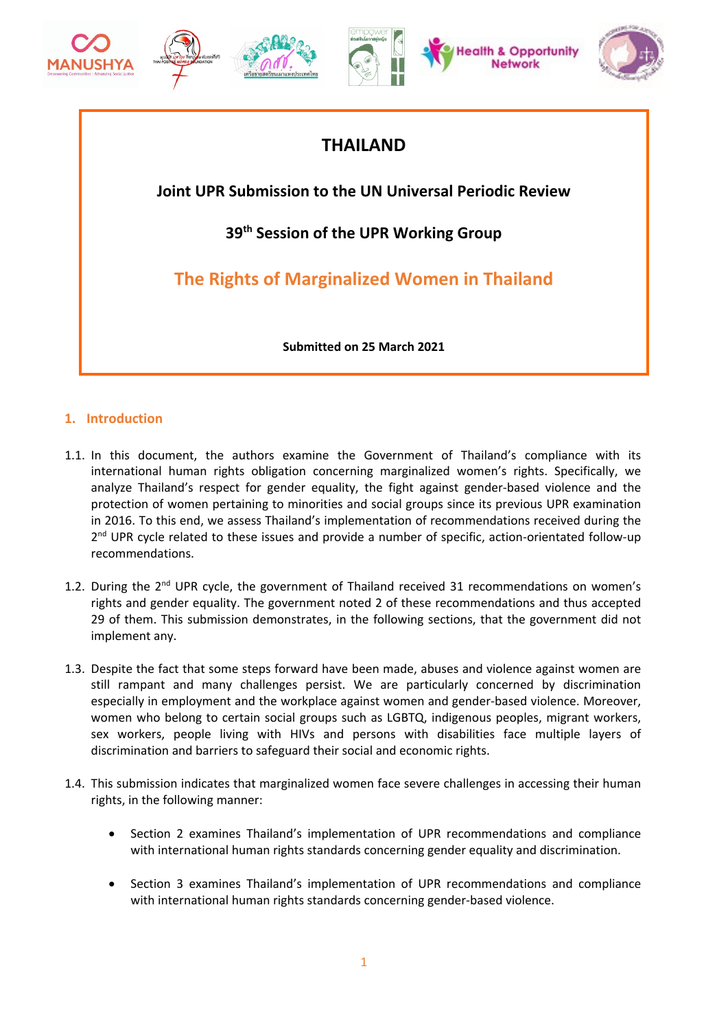



# **THAILAND**

**Joint UPR Submission to the UN Universal Periodic Review**

**39th Session of the UPR Working Group**

**The Rights of Marginalized Women in Thailand**

**Submitted on 25 March 2021**

# **1. Introduction**

- 1.1. In this document, the authors examine the Government of Thailand'<sup>s</sup> compliance with its international human rights obligation concerning marginalized women'<sup>s</sup> rights. Specifically, we analyze Thailand'<sup>s</sup> respect for gender equality, the fight against gender-based violence and the protection of women pertaining to minorities and social groups since its previous UPR examination in 2016. To this end, we assess Thailand'<sup>s</sup> implementation of recommendations received during the 2<sup>nd</sup> UPR cycle related to these issues and provide a number of specific, action-orientated follow-up recommendations.
- 1.2. During the 2<sup>nd</sup> UPR cycle, the government of Thailand received 31 recommendations on women's rights and gender equality. The government noted 2 of these recommendations and thus accepted 29 of them. This submission demonstrates, in the following sections, that the government did not implement any.
- 1.3. Despite the fact that some steps forward have been made, abuses and violence against women are still rampant and many challenges persist. We are particularly concerned by discrimination especially in employment and the workplace against women and gender-based violence. Moreover, women who belong to certain social groups such as LGBTQ, indigenous peoples, migrant workers, sex workers, people living with HIVs and persons with disabilities face multiple layers of discrimination and barriers to safeguard their social and economic rights.
- 1.4. This submission indicates that marginalized women face severe challenges in accessing their human rights, in the following manner:
	- c Section 2 examines Thailand'<sup>s</sup> implementation of UPR recommendations and compliance with international human rights standards concerning gender equality and discrimination.
	- c Section 3 examines Thailand'<sup>s</sup> implementation of UPR recommendations and compliance with international human rights standards concerning gender-based violence.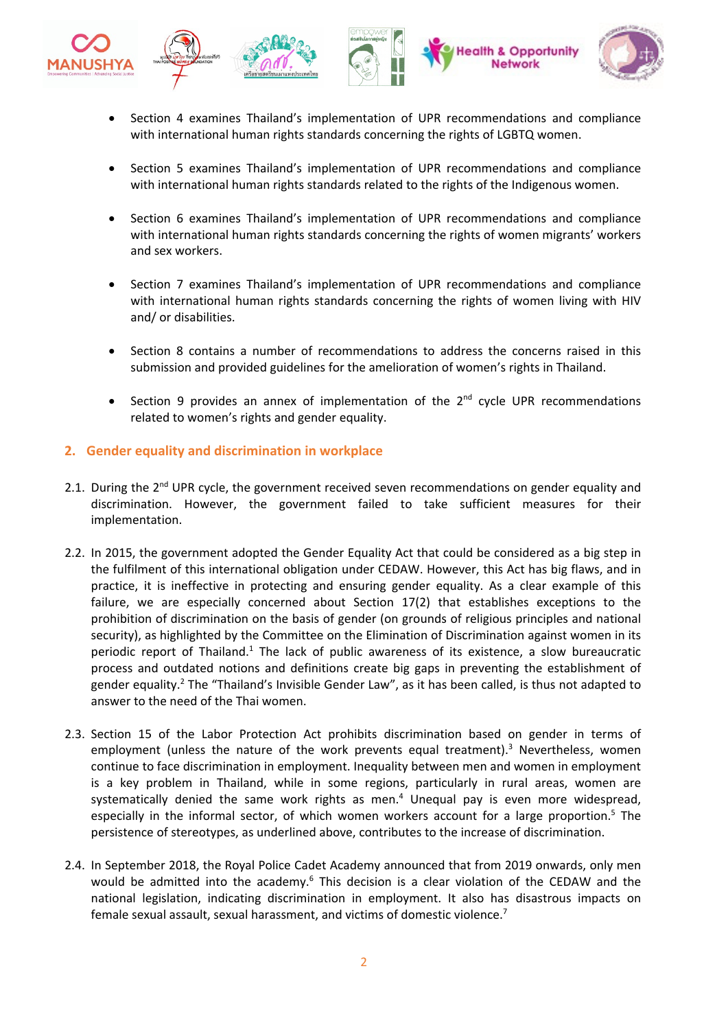

- Section 4 examines Thailand'<sup>s</sup> implementation of UPR recommendations and compliance with international human rights standards concerning the rights of LGBTQ women.
- c Section 5 examines Thailand'<sup>s</sup> implementation of UPR recommendations and compliance with international human rights standards related to the rights of the Indigenous women.
- c Section 6 examines Thailand'<sup>s</sup> implementation of UPR recommendations and compliance with international human rights standards concerning the rights of women migrants' workers and sex workers.
- c Section 7 examines Thailand'<sup>s</sup> implementation of UPR recommendations and compliance with international human rights standards concerning the rights of women living with HIV and/ or disabilities.
- c Section 8 contains <sup>a</sup> number of recommendations to address the concerns raised in this submission and provided guidelines for the amelioration of women'<sup>s</sup> rights in Thailand.
- c • Section 9 provides an annex of implementation of the  $2^{nd}$  cycle UPR recommendations related to women'<sup>s</sup> rights and gender equality.

# **2. Gender equality and discrimination in workplace**

c

- 2.1. During the 2<sup>nd</sup> UPR cycle, the government received seven recommendations on gender equality and discrimination. However, the government failed to take sufficient measures for their implementation.
- 2.2. In 2015, the government adopted the Gender Equality Act that could be considered as <sup>a</sup> big step in the fulfilment of this international obligation under CEDAW. However, this Act has big flaws, and in practice, it is ineffective in protecting and ensuring gender equality. As <sup>a</sup> clear example of this failure, we are especially concerned about Section 17(2) that establishes exceptions to the prohibition of discrimination on the basis of gender (on grounds of religious principles and national security), as highlighted by the Committee on the Elimination of Discrimination against women in its periodic report of Thailand.<sup>1</sup> The lack of public awareness of its existence, a slow bureaucratic process and outdated notions and definitions create big gaps in preventing the establishment of gender equality.<sup>2</sup> The "Thailand's Invisible Gender Law", as it has been called, is thus not adapted to answer to the need of the Thai women.
- 2.3. Section 15 of the Labor Protection Act prohibits discrimination based on gender in terms of employment (unless the nature of the work prevents equal treatment). 3 Nevertheless, women continue to face discrimination in employment. Inequality between men and women in employment is <sup>a</sup> key problem in Thailand, while in some regions, particularly in rural areas, women are systematically denied the same work rights as men. 4 Unequal pay is even more widespread, especially in the informal sector, of which women workers account for a large proportion.<sup>5</sup> The persistence of stereotypes, as underlined above, contributes to the increase of discrimination.
- 2.4. In September 2018, the Royal Police Cadet Academy announced that from 2019 onwards, only men would be admitted into the academy.<sup>6</sup> This decision is a clear violation of the CEDAW and the national legislation, indicating discrimination in employment. It also has disastrous impacts on female sexual assault, sexual harassment, and victims of domestic violence.<sup>7</sup>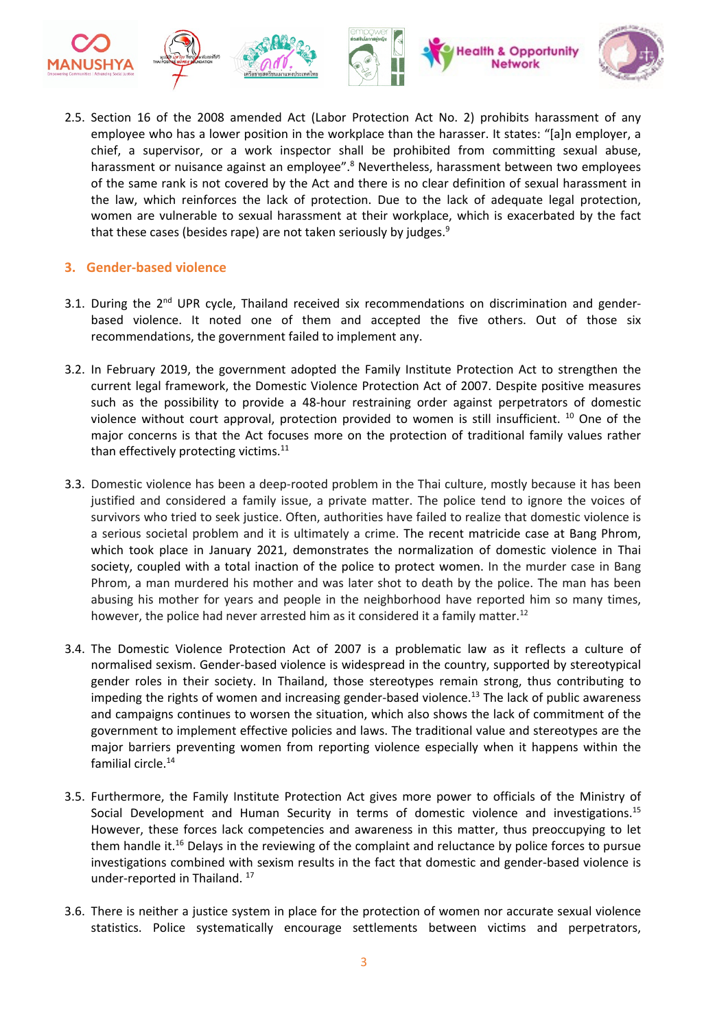

2.5. Section 16 of the 2008 amended Act (Labor Protection Act No. 2) prohibits harassment of any employee who has <sup>a</sup> lower position in the workplace than the harasser. It states: "[a]n employer, <sup>a</sup> chief, <sup>a</sup> supervisor, or <sup>a</sup> work inspector shall be prohibited from committing sexual abuse, harassment or nuisance against an employee".<sup>8</sup> Nevertheless, harassment between two employees of the same rank is not covered by the Act and there is no clear definition of sexual harassment in the law, which reinforces the lack of protection. Due to the lack of adequate legal protection, women are vulnerable to sexual harassment at their workplace, which is exacerbated by the fact that these cases (besides rape) are not taken seriously by judges.<sup>9</sup>

# **3. Gender-based violence**

- 3.1. During the 2<sup>nd</sup> UPR cycle, Thailand received six recommendations on discrimination and genderbased violence. It noted one of them and accepted the five others. Out of those six recommendations, the government failed to implement any.
- 3.2. In February 2019, the government adopted the Family Institute Protection Act to strengthen the current legal framework, the Domestic Violence Protection Act of 2007. Despite positive measures such as the possibility to provide <sup>a</sup> 48-hour restraining order against perpetrators of domestic violence without court approval, protection provided to women is still insufficient.  $^{10}$  One of the major concerns is that the Act focuses more on the protection of traditional family values rather than effectively protecting victims.<sup>11</sup>
- 3.3. Domestic violence has been <sup>a</sup> deep-rooted problem in the Thai culture, mostly because it has been justified and considered <sup>a</sup> family issue, <sup>a</sup> private matter. The police tend to ignore the voices of survivors who tried to seek justice. Often, authorities have failed to realize that domestic violence is <sup>a</sup> serious societal problem and it is ultimately <sup>a</sup> crime. The recent matricide case at Bang Phrom, which took place in January 2021, demonstrates the normalization of domestic violence in Thai society, coupled with <sup>a</sup> total inaction of the police to protect women. In the murder case in Bang Phrom, <sup>a</sup> man murdered his mother and was later shot to death by the police. The man has been abusing his mother for years and people in the neighborhood have reported him so many times, however, the police had never arrested him as it considered it a family matter.<sup>12</sup>
- 3.4. The Domestic Violence Protection Act of 2007 is <sup>a</sup> problematic law as it reflects <sup>a</sup> culture of normalised sexism. Gender-based violence is widespread in the country, supported by stereotypical gender roles in their society. In Thailand, those stereotypes remain strong, thus contributing to impeding the rights of women and increasing gender-based violence. 13 The lack of public awareness and campaigns continues to worsen the situation, which also shows the lack of commitment of the government to implement effective policies and laws. The traditional value and stereotypes are the major barriers preventing women from reporting violence especially when it happens within the familial circle. 14
- 3.5. Furthermore, the Family Institute Protection Act gives more power to officials of the Ministry of Social Development and Human Security in terms of domestic violence and investigations.<sup>15</sup> However, these forces lack competencies and awareness in this matter, thus preoccupying to let them handle it.<sup>16</sup> Delays in the reviewing of the complaint and reluctance by police forces to pursue investigations combined with sexism results in the fact that domestic and gender-based violence is under-reported in Thailand. <sup>17</sup>
- 3.6. There is neither <sup>a</sup> justice system in place for the protection of women nor accurate sexual violence statistics. Police systematically encourage settlements between victims and perpetrators,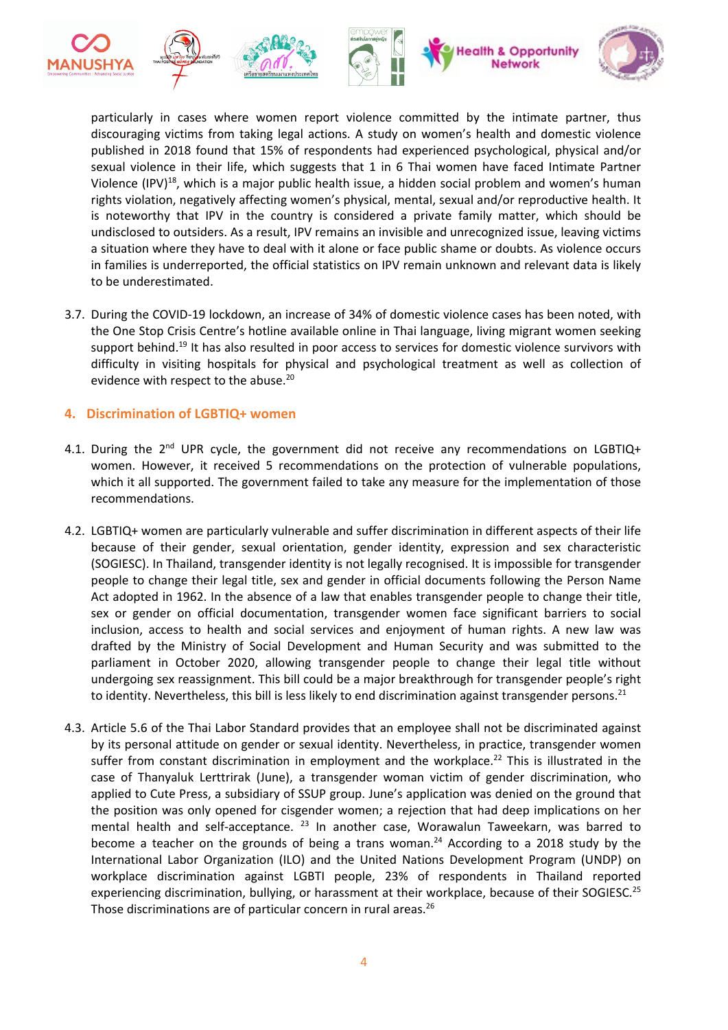

particularly in cases where women report violence committed by the intimate partner, thus discouraging victims from taking legal actions. A study on women'<sup>s</sup> health and domestic violence published in 2018 found that 15% of respondents had experienced psychological, physical and/or sexual violence in their life, which suggests that 1 in 6 Thai women have faced Intimate Partner Violence (IPV)<sup>18</sup>, which is a major public health issue, a hidden social problem and women's human rights violation, negatively affecting women'<sup>s</sup> physical, mental, sexual and/or reproductive health. It is noteworthy that IPV in the country is considered <sup>a</sup> private family matter, which should be undisclosed to outsiders. As <sup>a</sup> result, IPV remains an invisible and unrecognized issue, leaving victims <sup>a</sup> situation where they have to deal with it alone or face public shame or doubts. As violence occurs in families is underreported, the official statistics on IPV remain unknown and relevant data is likely to be underestimated.

3.7. During the COVID-19 lockdown, an increase of 34% of domestic violence cases has been noted, with the One Stop Crisis Centre'<sup>s</sup> hotline available online in Thai language, living migrant women seeking support behind.<sup>19</sup> It has also resulted in poor access to services for domestic violence survivors with difficulty in visiting hospitals for physical and psychological treatment as well as collection of evidence with respect to the abuse.<sup>20</sup>

## **4. Discrimination of LGBTIQ+ women**

- 4.1. During the 2<sup>nd</sup> UPR cycle, the government did not receive any recommendations on LGBTIQ+ women. However, it received 5 recommendations on the protection of vulnerable populations, which it all supported. The government failed to take any measure for the implementation of those recommendations.
- 4.2. LGBTIQ+ women are particularly vulnerable and suffer discrimination in different aspects of their life because of their gender, sexual orientation, gender identity, expression and sex characteristic (SOGIESC). In Thailand, transgender identity is not legally recognised. It is impossible for transgender people to change their legal title, sex and gender in official documents following the Person Name Act adopted in 1962. In the absence of <sup>a</sup> law that enables transgender people to change their title, sex or gender on official documentation, transgender women face significant barriers to social inclusion, access to health and social services and enjoyment of human rights. A new law was drafted by the Ministry of Social Development and Human Security and was submitted to the parliament in October 2020, allowing transgender people to change their legal title without undergoing sex reassignment. This bill could be <sup>a</sup> major breakthrough for transgender people'<sup>s</sup> right to identity. Nevertheless, this bill is less likely to end discrimination against transgender persons.<sup>21</sup>
- 4.3. Article 5.6 of the Thai Labor Standard provides that an employee shall not be discriminated against by its personal attitude on gender or sexual identity. Nevertheless, in practice, transgender women suffer from constant discrimination in employment and the workplace.<sup>22</sup> This is illustrated in the case of Thanyaluk Lerttrirak (June), <sup>a</sup> transgender woman victim of gender discrimination, who applied to Cute Press, <sup>a</sup> subsidiary of SSUP group. June'<sup>s</sup> application was denied on the ground that the position was only opened for cisgender women; <sup>a</sup> rejection that had deep implications on her mental health and self-acceptance. <sup>23</sup> In another case, Worawalun Taweekarn, was barred to become <sup>a</sup> teacher on the grounds of being <sup>a</sup> trans woman. 24 According to <sup>a</sup> 2018 study by the International Labor Organization (ILO) and the United Nations Development Program (UNDP) on workplace discrimination against LGBTI people, 23% of respondents in Thailand reported experiencing discrimination, bullying, or harassment at their workplace, because of their SOGIESC.<sup>25</sup> Those discriminations are of particular concern in rural areas.<sup>26</sup>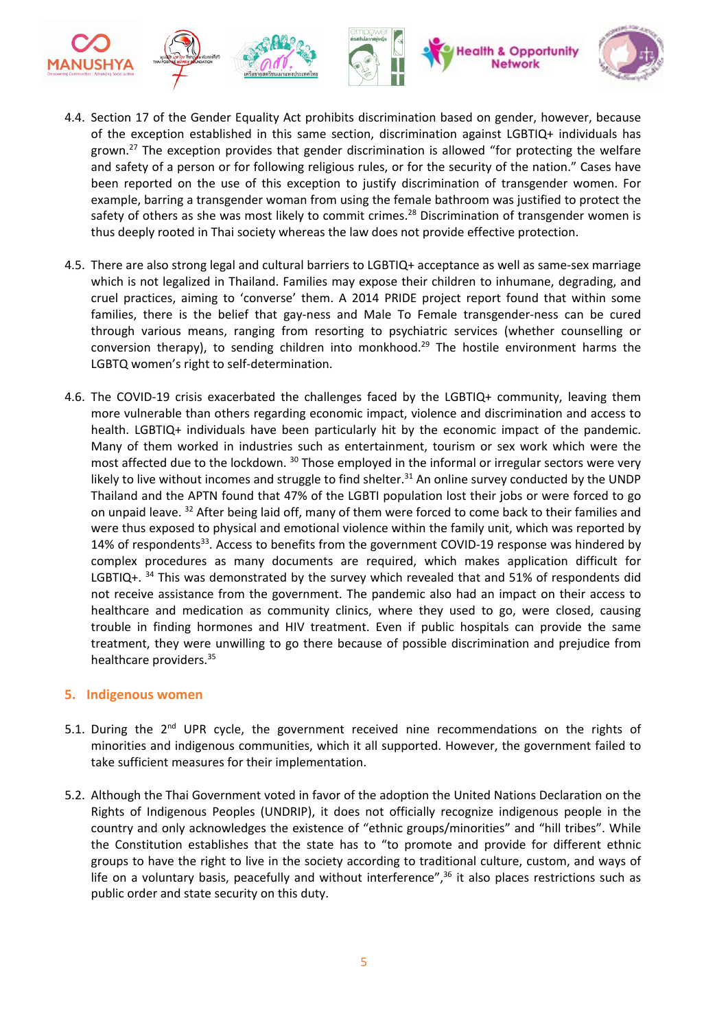

- 4.4. Section 17 of the Gender Equality Act prohibits discrimination based on gender, however, because of the exception established in this same section, discrimination against LGBTIQ+ individuals has grown.<sup>27</sup> The exception provides that gender discrimination is allowed "for protecting the welfare and safety of <sup>a</sup> person or for following religious rules, or for the security of the nation." Cases have been reported on the use of this exception to justify discrimination of transgender women. For example, barring <sup>a</sup> transgender woman from using the female bathroom was justified to protect the safety of others as she was most likely to commit crimes.<sup>28</sup> Discrimination of transgender women is thus deeply rooted in Thai society whereas the law does not provide effective protection.
- 4.5. There are also strong legal and cultural barriers to LGBTIQ+ acceptance as well as same-sex marriage which is not legalized in Thailand. Families may expose their children to inhumane, degrading, and cruel practices, aiming to 'converse' them. A 2014 PRIDE project report found that within some families, there is the belief that gay-ness and Male To Female transgender-ness can be cured through various means, ranging from resorting to psychiatric services (whether counselling or conversion therapy), to sending children into monkhood.<sup>29</sup> The hostile environment harms the LGBTQ women'<sup>s</sup> right to self-determination.
- 4.6. The COVID-19 crisis exacerbated the challenges faced by the LGBTIQ+ community, leaving them more vulnerable than others regarding economic impact, violence and discrimination and access to health. LGBTIQ+ individuals have been particularly hit by the economic impact of the pandemic. Many of them worked in industries such as entertainment, tourism or sex work which were the most affected due to the lockdown. <sup>30</sup> Those employed in the informal or irregular sectors were very likely to live without incomes and struggle to find shelter.<sup>31</sup> An online survey conducted by the UNDP Thailand and the APTN found that 47% of the LGBTI population lost their jobs or were forced to go on unpaid leave. <sup>32</sup> After being laid off, many of them were forced to come back to their families and were thus exposed to physical and emotional violence within the family unit, which was reported by 14% of respondents<sup>33</sup>. Access to benefits from the government COVID-19 response was hindered by complex procedures as many documents are required, which makes application difficult for LGBTIQ+. <sup>34</sup> This was demonstrated by the survey which revealed that and 51% of respondents did not receive assistance from the government. The pandemic also had an impact on their access to healthcare and medication as community clinics, where they used to go, were closed, causing trouble in finding hormones and HIV treatment. Even if public hospitals can provide the same treatment, they were unwilling to go there because of possible discrimination and prejudice from healthcare providers.<sup>35</sup>

#### **5. Indigenous women**

- 5.1. During the 2<sup>nd</sup> UPR cycle, the government received nine recommendations on the rights of minorities and indigenous communities, which it all supported. However, the government failed to take sufficient measures for their implementation.
- 5.2. Although the Thai Government voted in favor of the adoption the United Nations Declaration on the Rights of Indigenous Peoples (UNDRIP), it does not officially recognize indigenous people in the country and only acknowledges the existence of "ethnic groups/minorities" and "hill tribes". While the Constitution establishes that the state has to "to promote and provide for different ethnic groups to have the right to live in the society according to traditional culture, custom, and ways of life on a voluntary basis, peacefully and without interference",<sup>36</sup> it also places restrictions such as public order and state security on this duty.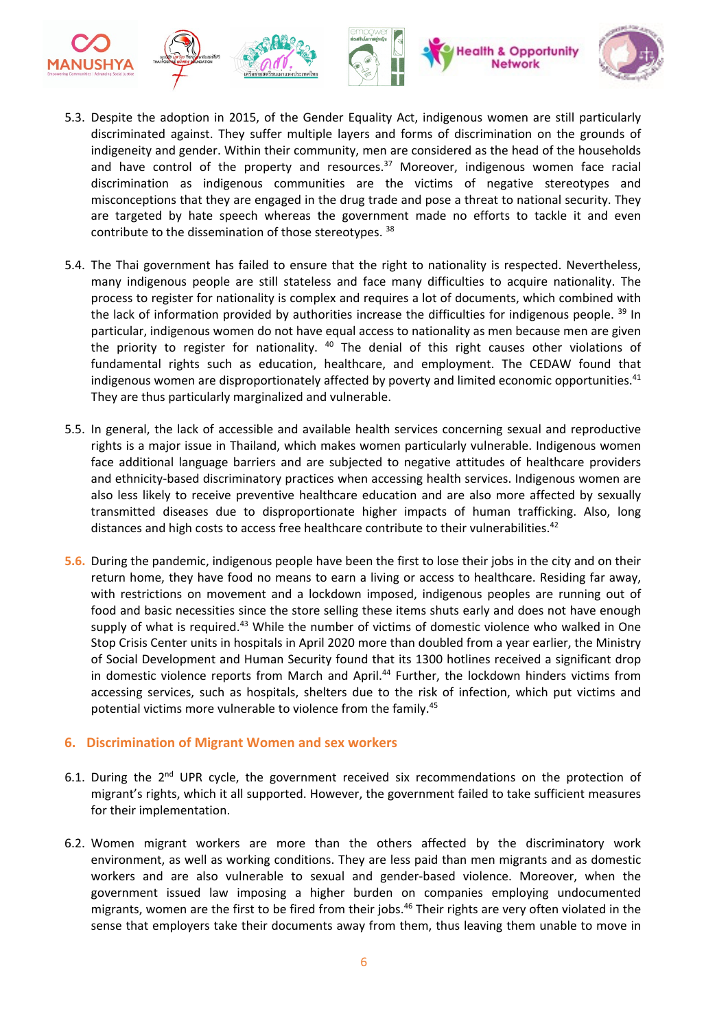

- 5.3. Despite the adoption in 2015, of the Gender Equality Act, indigenous women are still particularly discriminated against. They suffer multiple layers and forms of discrimination on the grounds of indigeneity and gender. Within their community, men are considered as the head of the households and have control of the property and resources.<sup>37</sup> Moreover, indigenous women face racial discrimination as indigenous communities are the victims of negative stereotypes and misconceptions that they are engaged in the drug trade and pose <sup>a</sup> threat to national security. They are targeted by hate speech whereas the government made no efforts to tackle it and even contribute to the dissemination of those stereotypes. <sup>38</sup>
- 5.4. The Thai government has failed to ensure that the right to nationality is respected. Nevertheless, many indigenous people are still stateless and face many difficulties to acquire nationality. The process to register for nationality is complex and requires <sup>a</sup> lot of documents, which combined with the lack of information provided by authorities increase the difficulties for indigenous people. <sup>39</sup> In particular, indigenous women do not have equal access to nationality as men because men are given the priority to register for nationality. <sup>40</sup> The denial of this right causes other violations of fundamental rights such as education, healthcare, and employment. The CEDAW found that indigenous women are disproportionately affected by poverty and limited economic opportunities. $^{41}$ They are thus particularly marginalized and vulnerable.
- 5.5. In general, the lack of accessible and available health services concerning sexual and reproductive rights is <sup>a</sup> major issue in Thailand, which makes women particularly vulnerable. Indigenous women face additional language barriers and are subjected to negative attitudes of healthcare providers and ethnicity-based discriminatory practices when accessing health services. Indigenous women are also less likely to receive preventive healthcare education and are also more affected by sexually transmitted diseases due to disproportionate higher impacts of human trafficking. Also, long distances and high costs to access free healthcare contribute to their vulnerabilities.<sup>42</sup>
- **5.6.** During the pandemic, indigenous people have been the first to lose their jobs in the city and on their return home, they have food no means to earn <sup>a</sup> living or access to healthcare. Residing far away, with restrictions on movement and <sup>a</sup> lockdown imposed, indigenous peoples are running out of food and basic necessities since the store selling these items shuts early and does not have enough supply of what is required.<sup>43</sup> While the number of victims of domestic violence who walked in One Stop Crisis Center units in hospitals in April 2020 more than doubled from <sup>a</sup> year earlier, the Ministry of Social Development and Human Security found that its 1300 hotlines received <sup>a</sup> significant drop in domestic violence reports from March and April. 44 Further, the lockdown hinders victims from accessing services, such as hospitals, shelters due to the risk of infection, which put victims and potential victims more vulnerable to violence from the family. 45

#### **6. Discrimination of Migrant Women and sex workers**

- 6.1. During the 2<sup>nd</sup> UPR cycle, the government received six recommendations on the protection of migrant'<sup>s</sup> rights, which it all supported. However, the government failed to take sufficient measures for their implementation.
- 6.2. Women migrant workers are more than the others affected by the discriminatory work environment, as well as working conditions. They are less paid than men migrants and as domestic workers and are also vulnerable to sexual and gender-based violence. Moreover, when the government issued law imposing <sup>a</sup> higher burden on companies employing undocumented migrants, women are the first to be fired from their jobs. 46 Their rights are very often violated in the sense that employers take their documents away from them, thus leaving them unable to move in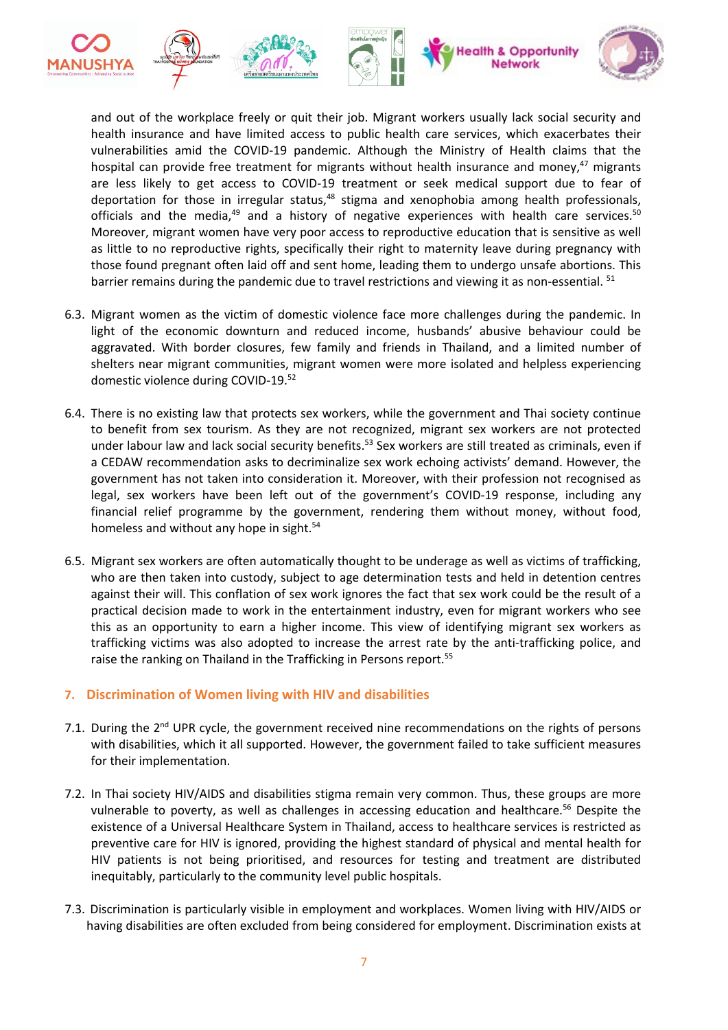

and out of the workplace freely or quit their job. Migrant workers usually lack social security and health insurance and have limited access to public health care services, which exacerbates their vulnerabilities amid the COVID-19 pandemic. Although the Ministry of Health claims that the hospital can provide free treatment for migrants without health insurance and money,<sup>47</sup> migrants are less likely to get access to COVID-19 treatment or seek medical support due to fear of deportation for those in irregular status,<sup>48</sup> stigma and xenophobia among health professionals, officials and the media,<sup>49</sup> and a history of negative experiences with health care services.<sup>50</sup> Moreover, migrant women have very poor access to reproductive education that is sensitive as well as little to no reproductive rights, specifically their right to maternity leave during pregnancy with those found pregnant often laid off and sent home, leading them to undergo unsafe abortions. This barrier remains during the pandemic due to travel restrictions and viewing it as non-essential. <sup>51</sup>

- 6.3. Migrant women as the victim of domestic violence face more challenges during the pandemic. In light of the economic downturn and reduced income, husbands' abusive behaviour could be aggravated. With border closures, few family and friends in Thailand, and <sup>a</sup> limited number of shelters near migrant communities, migrant women were more isolated and helpless experiencing domestic violence during COVID-19.<sup>52</sup>
- 6.4. There is no existing law that protects sex workers, while the government and Thai society continue to benefit from sex tourism. As they are not recognized, migrant sex workers are not protected under labour law and lack social security benefits.<sup>53</sup> Sex workers are still treated as criminals, even if <sup>a</sup> CEDAW recommendation asks to decriminalize sex work echoing activists' demand. However, the government has not taken into consideration it. Moreover, with their profession not recognised as legal, sex workers have been left out of the government'<sup>s</sup> COVID-19 response, including any financial relief programme by the government, rendering them without money, without food, homeless and without any hope in sight.<sup>54</sup>
- 6.5. Migrant sex workers are often automatically thought to be underage as well as victims of trafficking, who are then taken into custody, subject to age determination tests and held in detention centres against their will. This conflation of sex work ignores the fact that sex work could be the result of <sup>a</sup> practical decision made to work in the entertainment industry, even for migrant workers who see this as an opportunity to earn <sup>a</sup> higher income. This view of identifying migrant sex workers as trafficking victims was also adopted to increase the arrest rate by the anti-trafficking police, and raise the ranking on Thailand in the Trafficking in Persons report.<sup>55</sup>

# **7. Discrimination of Women living with HIV and disabilities**

- 7.1. During the 2<sup>nd</sup> UPR cycle, the government received nine recommendations on the rights of persons with disabilities, which it all supported. However, the government failed to take sufficient measures for their implementation.
- 7.2. In Thai society HIV/AIDS and disabilities stigma remain very common. Thus, these groups are more vulnerable to poverty, as well as challenges in accessing education and healthcare.<sup>56</sup> Despite the existence of <sup>a</sup> Universal Healthcare System in Thailand, access to healthcare services is restricted as preventive care for HIV is ignored, providing the highest standard of physical and mental health for HIV patients is not being prioritised, and resources for testing and treatment are distributed inequitably, particularly to the community level public hospitals.
- 7.3. Discrimination is particularly visible in employment and workplaces. Women living with HIV/AIDS or having disabilities are often excluded from being considered for employment. Discrimination exists at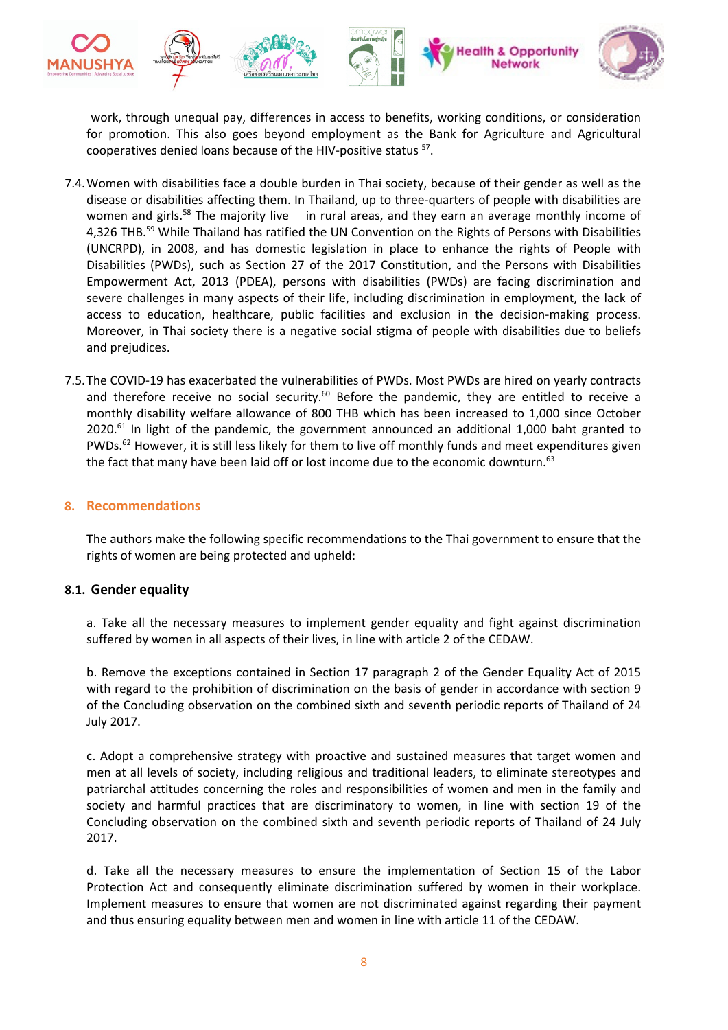

work, through unequal pay, differences in access to benefits, working conditions, or consideration for promotion. This also goes beyond employment as the Bank for Agriculture and Agricultural cooperatives denied loans because of the HIV-positive status 57 .

- 7.4.Women with disabilities face <sup>a</sup> double burden in Thai society, because of their gender as well as the disease or disabilities affecting them. In Thailand, up to three-quarters of people with disabilities are women and girls.<sup>58</sup> The majority live in rural areas, and they earn an average monthly income of 4,326 THB.<sup>59</sup> While Thailand has ratified the UN Convention on the Rights of Persons with Disabilities (UNCRPD), in 2008, and has domestic legislation in place to enhance the rights of People with Disabilities (PWDs), such as Section 27 of the 2017 Constitution, and the Persons with Disabilities Empowerment Act, 2013 (PDEA), persons with disabilities (PWDs) are facing discrimination and severe challenges in many aspects of their life, including discrimination in employment, the lack of access to education, healthcare, public facilities and exclusion in the decision-making process. Moreover, in Thai society there is <sup>a</sup> negative social stigma of people with disabilities due to beliefs and prejudices.
- 7.5.The COVID-19 has exacerbated the vulnerabilities of PWDs. Most PWDs are hired on yearly contracts and therefore receive no social security.<sup>60</sup> Before the pandemic, they are entitled to receive a monthly disability welfare allowance of 800 THB which has been increased to 1,000 since October 2020.<sup>61</sup> In light of the pandemic, the government announced an additional 1,000 baht granted to PWDs.<sup>62</sup> However, it is still less likely for them to live off monthly funds and meet expenditures given the fact that many have been laid off or lost income due to the economic downturn.<sup>63</sup>

## **8. Recommendations**

The authors make the following specific recommendations to the Thai government to ensure that the rights of women are being protected and upheld:

#### **8.1. Gender equality**

a. Take all the necessary measures to implement gender equality and fight against discrimination suffered by women in all aspects of their lives, in line with article 2 of the CEDAW.

b. Remove the exceptions contained in Section 17 paragraph 2 of the Gender Equality Act of 2015 with regard to the prohibition of discrimination on the basis of gender in accordance with section 9 of the Concluding observation on the combined sixth and seventh periodic reports of Thailand of 24 July 2017.

c. Adopt <sup>a</sup> comprehensive strategy with proactive and sustained measures that target women and men at all levels of society, including religious and traditional leaders, to eliminate stereotypes and patriarchal attitudes concerning the roles and responsibilities of women and men in the family and society and harmful practices that are discriminatory to women, in line with section 19 of the Concluding observation on the combined sixth and seventh periodic reports of Thailand of 24 July 2017.

d. Take all the necessary measures to ensure the implementation of Section 15 of the Labor Protection Act and consequently eliminate discrimination suffered by women in their workplace. Implement measures to ensure that women are not discriminated against regarding their payment and thus ensuring equality between men and women in line with article 11 of the CEDAW.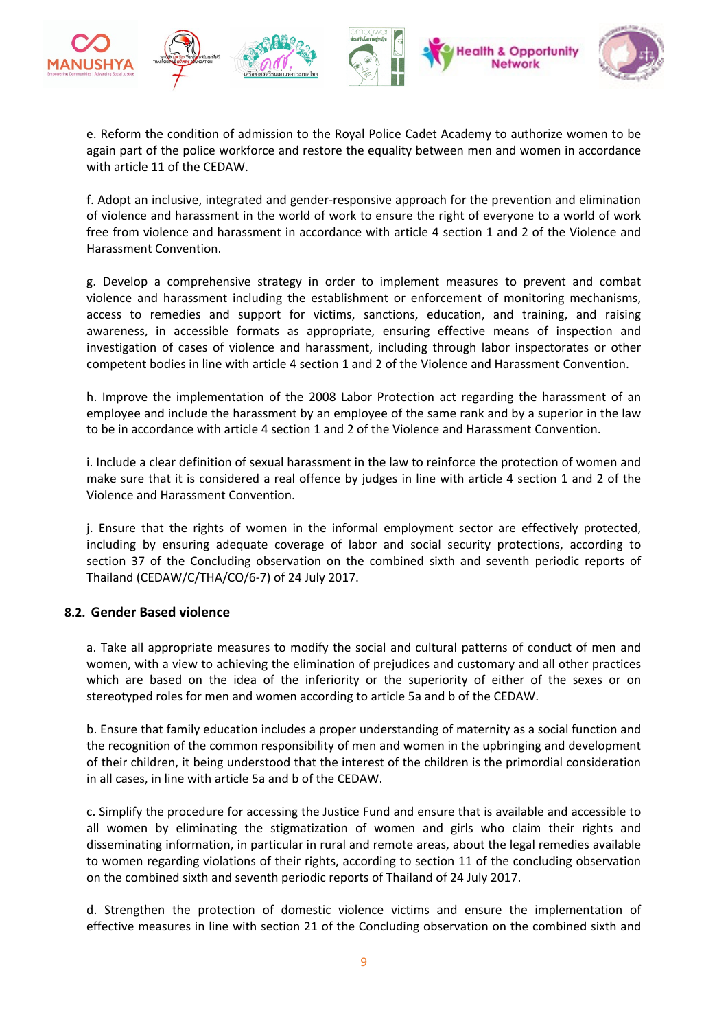

e. Reform the condition of admission to the Royal Police Cadet Academy to authorize women to be again part of the police workforce and restore the equality between men and women in accordance with article 11 of the CEDAW.

f. Adopt an inclusive, integrated and gender-responsive approach for the prevention and elimination of violence and harassment in the world of work to ensure the right of everyone to <sup>a</sup> world of work free from violence and harassment in accordance with article 4 section 1 and 2 of the Violence and Harassment Convention.

g. Develop <sup>a</sup> comprehensive strategy in order to implement measures to prevent and combat violence and harassment including the establishment or enforcement of monitoring mechanisms, access to remedies and support for victims, sanctions, education, and training, and raising awareness, in accessible formats as appropriate, ensuring effective means of inspection and investigation of cases of violence and harassment, including through labor inspectorates or other competent bodies in line with article 4 section 1 and 2 of the Violence and Harassment Convention.

h. Improve the implementation of the 2008 Labor Protection act regarding the harassment of an employee and include the harassment by an employee of the same rank and by <sup>a</sup> superior in the law to be in accordance with article 4 section 1 and 2 of the Violence and Harassment Convention.

i. Include <sup>a</sup> clear definition of sexual harassment in the law to reinforce the protection of women and make sure that it is considered <sup>a</sup> real offence by judges in line with article 4 section 1 and 2 of the Violence and Harassment Convention.

j. Ensure that the rights of women in the informal employment sector are effectively protected, including by ensuring adequate coverage of labor and social security protections, according to section 37 of the Concluding observation on the combined sixth and seventh periodic reports of Thailand (CEDAW/C/THA/CO/6-7) of 24 July 2017.

# **8.2. Gender Based violence**

a. Take all appropriate measures to modify the social and cultural patterns of conduct of men and women, with <sup>a</sup> view to achieving the elimination of prejudices and customary and all other practices which are based on the idea of the inferiority or the superiority of either of the sexes or on stereotyped roles for men and women according to article 5a and b of the CEDAW.

b. Ensure that family education includes <sup>a</sup> proper understanding of maternity as <sup>a</sup> social function and the recognition of the common responsibility of men and women in the upbringing and development of their children, it being understood that the interest of the children is the primordial consideration in all cases, in line with article 5a and b of the CEDAW.

c. Simplify the procedure for accessing the Justice Fund and ensure that is available and accessible to all women by eliminating the stigmatization of women and girls who claim their rights and disseminating information, in particular in rural and remote areas, about the legal remedies available to women regarding violations of their rights, according to section 11 of the concluding observation on the combined sixth and seventh periodic reports of Thailand of 24 July 2017.

d. Strengthen the protection of domestic violence victims and ensure the implementation of effective measures in line with section 21 of the Concluding observation on the combined sixth and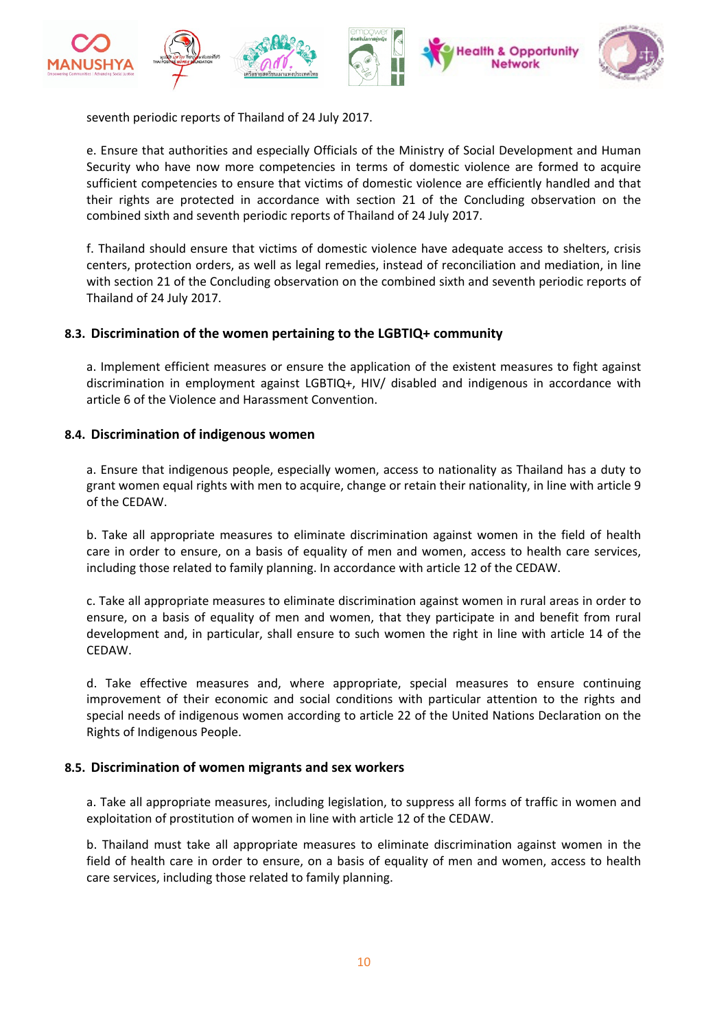

seventh periodic reports of Thailand of 24 July 2017.

e. Ensure that authorities and especially Officials of the Ministry of Social Development and Human Security who have now more competencies in terms of domestic violence are formed to acquire sufficient competencies to ensure that victims of domestic violence are efficiently handled and that their rights are protected in accordance with section 21 of the Concluding observation on the combined sixth and seventh periodic reports of Thailand of 24 July 2017.

f. Thailand should ensure that victims of domestic violence have adequate access to shelters, crisis centers, protection orders, as well as legal remedies, instead of reconciliation and mediation, in line with section 21 of the Concluding observation on the combined sixth and seventh periodic reports of Thailand of 24 July 2017.

## **8.3. Discrimination of the women pertaining to the LGBTIQ+ community**

a. Implement efficient measures or ensure the application of the existent measures to fight against discrimination in employment against LGBTIQ+, HIV/ disabled and indigenous in accordance with article 6 of the Violence and Harassment Convention.

## **8.4. Discrimination of indigenous women**

a. Ensure that indigenous people, especially women, access to nationality as Thailand has <sup>a</sup> duty to grant women equal rights with men to acquire, change or retain their nationality, in line with article 9 of the CEDAW.

b. Take all appropriate measures to eliminate discrimination against women in the field of health care in order to ensure, on <sup>a</sup> basis of equality of men and women, access to health care services, including those related to family planning. In accordance with article 12 of the CEDAW.

c. Take all appropriate measures to eliminate discrimination against women in rural areas in order to ensure, on <sup>a</sup> basis of equality of men and women, that they participate in and benefit from rural development and, in particular, shall ensure to such women the right in line with article 14 of the CEDAW.

d. Take effective measures and, where appropriate, special measures to ensure continuing improvement of their economic and social conditions with particular attention to the rights and special needs of indigenous women according to article 22 of the United Nations Declaration on the Rights of Indigenous People.

#### **8.5. Discrimination of women migrants and sex workers**

a. Take all appropriate measures, including legislation, to suppress all forms of traffic in women and exploitation of prostitution of women in line with article 12 of the CEDAW.

b. Thailand must take all appropriate measures to eliminate discrimination against women in the field of health care in order to ensure, on <sup>a</sup> basis of equality of men and women, access to health care services, including those related to family planning.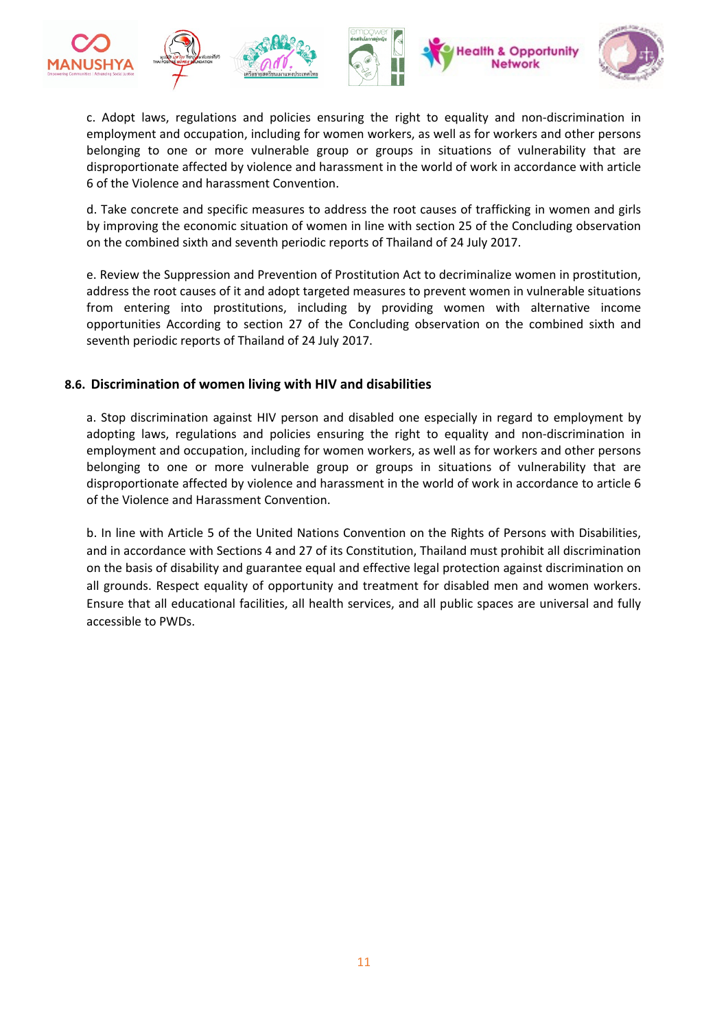

c. Adopt laws, regulations and policies ensuring the right to equality and non-discrimination in employment and occupation, including for women workers, as well as for workers and other persons belonging to one or more vulnerable group or groups in situations of vulnerability that are disproportionate affected by violence and harassment in the world of work in accordance with article 6 of the Violence and harassment Convention.

d. Take concrete and specific measures to address the root causes of trafficking in women and girls by improving the economic situation of women in line with section 25 of the Concluding observation on the combined sixth and seventh periodic reports of Thailand of 24 July 2017.

e. Review the Suppression and Prevention of Prostitution Act to decriminalize women in prostitution, address the root causes of it and adopt targeted measures to prevent women in vulnerable situations from entering into prostitutions, including by providing women with alternative income opportunities According to section 27 of the Concluding observation on the combined sixth and seventh periodic reports of Thailand of 24 July 2017.

## **8.6. Discrimination of women living with HIV and disabilities**

a. Stop discrimination against HIV person and disabled one especially in regard to employment by adopting laws, regulations and policies ensuring the right to equality and non-discrimination in employment and occupation, including for women workers, as well as for workers and other persons belonging to one or more vulnerable group or groups in situations of vulnerability that are disproportionate affected by violence and harassment in the world of work in accordance to article 6 of the Violence and Harassment Convention.

b. In line with Article 5 of the United Nations Convention on the Rights of Persons with Disabilities, and in accordance with Sections 4 and 27 of its Constitution, Thailand must prohibit all discrimination on the basis of disability and guarantee equal and effective legal protection against discrimination on all grounds. Respect equality of opportunity and treatment for disabled men and women workers. Ensure that all educational facilities, all health services, and all public spaces are universal and fully accessible to PWDs.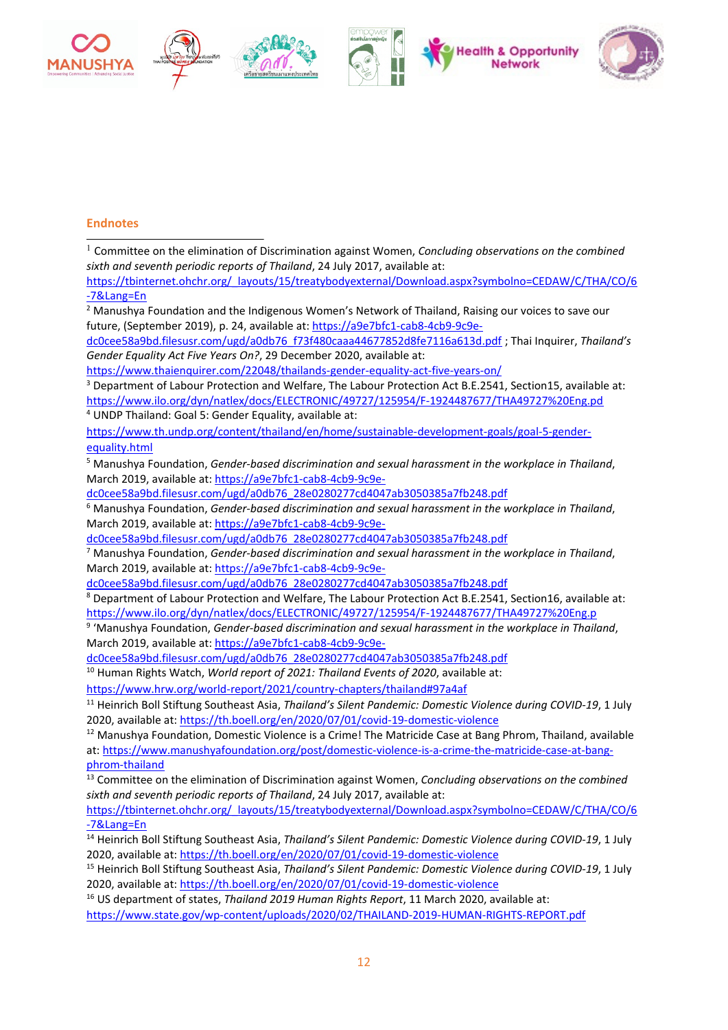

#### **Endnotes**

1 Committee on the elimination of Discrimination against Women, *Concluding observations on the combined sixth and seventh periodic reports of Thailand*, 24 July 2017, available at:

[https://tbinternet.ohchr.org/\\_layouts/15/treatybodyexternal/Download.aspx?symbolno=CEDAW/C/THA/CO/6](https://tbinternet.ohchr.org/_layouts/15/treatybodyexternal/Download.aspx?symbolno=CEDAW/C/THA/CO/6-7&Lang=En) [-7&Lang=En](https://tbinternet.ohchr.org/_layouts/15/treatybodyexternal/Download.aspx?symbolno=CEDAW/C/THA/CO/6-7&Lang=En)

<sup>2</sup> Manushya Foundation and the Indigenous Women'<sup>s</sup> Network of Thailand, Raising our voices to save our future, (September 2019), p. 24, available at: [https://a9e7bfc1-cab8-4cb9-9c9e-](https://a9e7bfc1-cab8-4cb9-9c9e-dc0cee58a9bd.filesusr.com/ugd/a0db76_f73f480caaa44677852d8fe7116a613d.pdf)

[dc0cee58a9bd.filesusr.com/ugd/a0db76\\_f73f480caaa44677852d8fe7116a613d.pdf](https://a9e7bfc1-cab8-4cb9-9c9e-dc0cee58a9bd.filesusr.com/ugd/a0db76_f73f480caaa44677852d8fe7116a613d.pdf) ; Thai Inquirer, *Thailand'<sup>s</sup> Gender Equality Act Five Years On?*, 29 December 2020, available at:

<https://www.thaienquirer.com/22048/thailands-gender-equality-act-five-years-on/>

<sup>3</sup> Department of Labour Protection and Welfare, The Labour Protection Act B.E.2541, Section15, available at: <https://www.ilo.org/dyn/natlex/docs/ELECTRONIC/49727/125954/F-1924487677/THA49727%20Eng.pd>

4 UNDP Thailand: Goal 5: Gender Equality, available at:

[https://www.th.undp.org/content/thailand/en/home/sustainable-development-goals/goal-5-gender](https://www.th.undp.org/content/thailand/en/home/sustainable-development-goals/goal-5-gender-equality.html)[equality.html](https://www.th.undp.org/content/thailand/en/home/sustainable-development-goals/goal-5-gender-equality.html)

<sup>5</sup> Manushya Foundation, *Gender-based discrimination and sexual harassment in the workplace in Thailand*, March 2019, available at: [https://a9e7bfc1-cab8-4cb9-9c9e-](https://a9e7bfc1-cab8-4cb9-9c9e-dc0cee58a9bd.filesusr.com/ugd/a0db76_28e0280277cd4047ab3050385a7fb248.pdf)

[dc0cee58a9bd.filesusr.com/ugd/a0db76\\_28e0280277cd4047ab3050385a7fb248.pdf](https://a9e7bfc1-cab8-4cb9-9c9e-dc0cee58a9bd.filesusr.com/ugd/a0db76_28e0280277cd4047ab3050385a7fb248.pdf)

<sup>6</sup> Manushya Foundation, *Gender-based discrimination and sexual harassment in the workplace in Thailand*, March 2019, available at: [https://a9e7bfc1-cab8-4cb9-9c9e-](https://a9e7bfc1-cab8-4cb9-9c9e-dc0cee58a9bd.filesusr.com/ugd/a0db76_28e0280277cd4047ab3050385a7fb248.pdf)

[dc0cee58a9bd.filesusr.com/ugd/a0db76\\_28e0280277cd4047ab3050385a7fb248.pdf](https://a9e7bfc1-cab8-4cb9-9c9e-dc0cee58a9bd.filesusr.com/ugd/a0db76_28e0280277cd4047ab3050385a7fb248.pdf)

<sup>7</sup> Manushya Foundation, *Gender-based discrimination and sexual harassment in the workplace in Thailand*, March 2019, available at: [https://a9e7bfc1-cab8-4cb9-9c9e-](https://a9e7bfc1-cab8-4cb9-9c9e-dc0cee58a9bd.filesusr.com/ugd/a0db76_28e0280277cd4047ab3050385a7fb248.pdf)

[dc0cee58a9bd.filesusr.com/ugd/a0db76\\_28e0280277cd4047ab3050385a7fb248.pdf](https://a9e7bfc1-cab8-4cb9-9c9e-dc0cee58a9bd.filesusr.com/ugd/a0db76_28e0280277cd4047ab3050385a7fb248.pdf)

8 Department of Labour Protection and Welfare, The Labour Protection Act B.E.2541, Section16, available at: <https://www.ilo.org/dyn/natlex/docs/ELECTRONIC/49727/125954/F-1924487677/THA49727%20Eng.p>

9 'Manushya Foundation, *Gender-based discrimination and sexual harassment in the workplace in Thailand*, March 2019, available at: [https://a9e7bfc1-cab8-4cb9-9c9e-](https://a9e7bfc1-cab8-4cb9-9c9e-dc0cee58a9bd.filesusr.com/ugd/a0db76_28e0280277cd4047ab3050385a7fb248.pdf)

[dc0cee58a9bd.filesusr.com/ugd/a0db76\\_28e0280277cd4047ab3050385a7fb248.pdf](https://a9e7bfc1-cab8-4cb9-9c9e-dc0cee58a9bd.filesusr.com/ugd/a0db76_28e0280277cd4047ab3050385a7fb248.pdf)

10 Human Rights Watch, *World report of 2021: Thailand Events of 2020*, available at:

<https://www.hrw.org/world-report/2021/country-chapters/thailand#97a4af>

11 Heinrich Boll Stiftung Southeast Asia, *Thailand'<sup>s</sup> Silent Pandemic: Domestic Violence during COVID-19*, 1 July 2020, available at: <https://th.boell.org/en/2020/07/01/covid-19-domestic-violence>

<sup>12</sup> Manushya Foundation, Domestic Violence is a Crime! The Matricide Case at Bang Phrom, Thailand, available at: [https://www.manushyafoundation.org/post/domestic-violence-is-a-crime-the-matricide-case-at-bang](https://www.manushyafoundation.org/post/domestic-violence-is-a-crime-the-matricide-case-at-bang-phrom-thailand)[phrom-thailand](https://www.manushyafoundation.org/post/domestic-violence-is-a-crime-the-matricide-case-at-bang-phrom-thailand)

13 Committee on the elimination of Discrimination against Women, *Concluding observations on the combined sixth and seventh periodic reports of Thailand*, 24 July 2017, available at:

[https://tbinternet.ohchr.org/\\_layouts/15/treatybodyexternal/Download.aspx?symbolno=CEDAW/C/THA/CO/6](https://tbinternet.ohchr.org/_layouts/15/treatybodyexternal/Download.aspx?symbolno=CEDAW/C/THA/CO/6-7&Lang=En) [-7&Lang=En](https://tbinternet.ohchr.org/_layouts/15/treatybodyexternal/Download.aspx?symbolno=CEDAW/C/THA/CO/6-7&Lang=En)

14 Heinrich Boll Stiftung Southeast Asia, *Thailand'<sup>s</sup> Silent Pandemic: Domestic Violence during COVID-19*, 1 July 2020, available at: <https://th.boell.org/en/2020/07/01/covid-19-domestic-violence>

15 Heinrich Boll Stiftung Southeast Asia, *Thailand'<sup>s</sup> Silent Pandemic: Domestic Violence during COVID-19*, 1 July 2020, available at: <https://th.boell.org/en/2020/07/01/covid-19-domestic-violence>

16 US department of states, *Thailand 2019 Human Rights Report*, 11 March 2020, available at:

<https://www.state.gov/wp-content/uploads/2020/02/THAILAND-2019-HUMAN-RIGHTS-REPORT.pdf>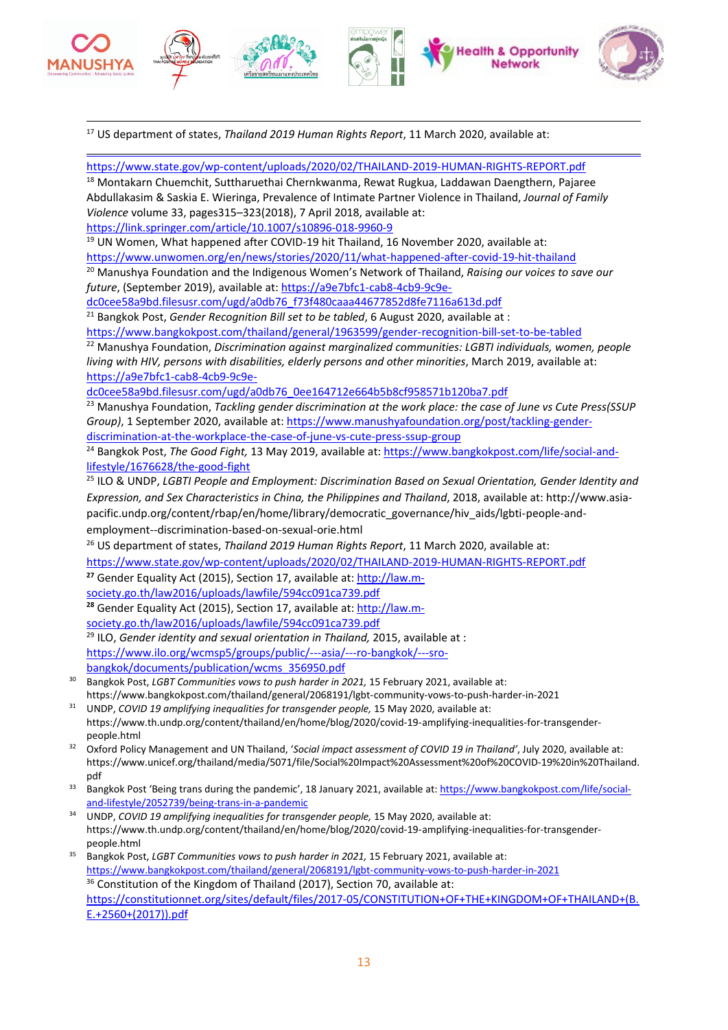

17 US department of states, *Thailand 2019 Human Rights Report*, 11 March 2020, available at:

<https://www.state.gov/wp-content/uploads/2020/02/THAILAND-2019-HUMAN-RIGHTS-REPORT.pdf>

<sup>18</sup> Montakarn Chuemchit, Suttharuethai Chernkwanma, Rewat Rugkua, Laddawan Daengthern, Pajaree Abdullakasim & Saskia E. Wieringa, Prevalence of Intimate Partner Violence in Thailand, *Journal of Family Violence* volume 33, pages315–323(2018), 7 April 2018, available at: <https://link.springer.com/article/10.1007/s10896-018-9960-9>

<sup>19</sup> UN Women, What happened after COVID-19 hit Thailand, 16 November 2020, available at:

<https://www.unwomen.org/en/news/stories/2020/11/what-happened-after-covid-19-hit-thailand>

<sup>20</sup> Manushya Foundation and the Indigenous Women'<sup>s</sup> Network of Thailand, *Raising our voices to save our future*, (September 2019), available at: [https://a9e7bfc1-cab8-4cb9-9c9e-](https://a9e7bfc1-cab8-4cb9-9c9e-dc0cee58a9bd.filesusr.com/ugd/a0db76_f73f480caaa44677852d8fe7116a613d.pdf)

[dc0cee58a9bd.filesusr.com/ugd/a0db76\\_f73f480caaa44677852d8fe7116a613d.pdf](https://a9e7bfc1-cab8-4cb9-9c9e-dc0cee58a9bd.filesusr.com/ugd/a0db76_f73f480caaa44677852d8fe7116a613d.pdf)

21 Bangkok Post, *Gender Recognition Bill set to be tabled*, 6 August 2020, available at :

<https://www.bangkokpost.com/thailand/general/1963599/gender-recognition-bill-set-to-be-tabled>

<sup>22</sup> Manushya Foundation, *Discrimination against marginalized communities: LGBTI individuals, women, people living with HIV, persons with disabilities, elderly persons and other minorities*, March 2019, available at: [https://a9e7bfc1-cab8-4cb9-9c9e-](https://a9e7bfc1-cab8-4cb9-9c9e-dc0cee58a9bd.filesusr.com/ugd/a0db76_0ee164712e664b5b8cf958571b120ba7.pdf)

[dc0cee58a9bd.filesusr.com/ugd/a0db76\\_0ee164712e664b5b8cf958571b120ba7.pdf](https://a9e7bfc1-cab8-4cb9-9c9e-dc0cee58a9bd.filesusr.com/ugd/a0db76_0ee164712e664b5b8cf958571b120ba7.pdf)

<sup>23</sup> Manushya Foundation, *Tackling gender discrimination at the work place: the case of June vs Cute Press(SSUP Group)*, 1 September 2020, available at: [https://www.manushyafoundation.org/post/tackling-gender](https://www.manushyafoundation.org/post/tackling-gender-discrimination-at-the-workplace-the-case-of-june-vs-cute-press-ssup-group)[discrimination-at-the-workplace-the-case-of-june-vs-cute-press-ssup-group](https://www.manushyafoundation.org/post/tackling-gender-discrimination-at-the-workplace-the-case-of-june-vs-cute-press-ssup-group)

24 Bangkok Post, *The Good Fight,* 13 May 2019, available at: [https://www.bangkokpost.com/life/social-and](https://www.bangkokpost.com/life/social-and-lifestyle/1676628/the-good-fight)[lifestyle/1676628/the-good-fight](https://www.bangkokpost.com/life/social-and-lifestyle/1676628/the-good-fight)

25 ILO & UNDP, *LGBTI People and Employment: Discrimination Based on Sexual Orientation, Gender Identity and Expression, and Sex Characteristics in China, the Philippines and Thailand*, 2018, available at: [http://www.asia](http://www.asia-pacific.undp.org/content/rbap/en/home/library/democratic_governance/hiv_aids/lgbti-people-and-employment--discrimination-based-on-sexual-orie.html)[pacific.undp.org/content/rbap/en/home/library/democratic\\_governance/hiv\\_aids/lgbti-people-and](http://www.asia-pacific.undp.org/content/rbap/en/home/library/democratic_governance/hiv_aids/lgbti-people-and-employment--discrimination-based-on-sexual-orie.html)[employment--discrimination-based-on-sexual-orie.html](http://www.asia-pacific.undp.org/content/rbap/en/home/library/democratic_governance/hiv_aids/lgbti-people-and-employment--discrimination-based-on-sexual-orie.html)

26 US department of states, *Thailand 2019 Human Rights Report*, 11 March 2020, available at: <https://www.state.gov/wp-content/uploads/2020/02/THAILAND-2019-HUMAN-RIGHTS-REPORT.pdf>

<sup>27</sup> Gender Equality Act (2015), Section 17, available at: [http://law.m](http://law.m-society.go.th/law2016/uploads/lawfile/594cc091ca739.pdf)[society.go.th/law2016/uploads/lawfile/594cc091ca739.pdf](http://law.m-society.go.th/law2016/uploads/lawfile/594cc091ca739.pdf)

<sup>28</sup> Gender Equality Act (2015), Section 17, available at: [http://law.m](http://law.m-society.go.th/law2016/uploads/lawfile/594cc091ca739.pdf)[society.go.th/law2016/uploads/lawfile/594cc091ca739.pdf](http://law.m-society.go.th/law2016/uploads/lawfile/594cc091ca739.pdf)

29 ILO, *Gender identity and sexual orientation in Thailand,* 2015, available at : [https://www.ilo.org/wcmsp5/groups/public/---asia/---ro-bangkok/---sro](https://www.ilo.org/wcmsp5/groups/public/---asia/---ro-bangkok/---sro-bangkok/documents/publication/wcms_356950.pdf)[bangkok/documents/publication/wcms\\_356950.pdf](https://www.ilo.org/wcmsp5/groups/public/---asia/---ro-bangkok/---sro-bangkok/documents/publication/wcms_356950.pdf)

- 30 Bangkok Post, *LGBT Communities vows to push harder in 2021,* 15 February 2021, available at: https://www.bangkokpost.com/thailand/general/2068191/lgbt-community-vows-to-push-harder-in-2021
- 31 UNDP, *COVID 19 amplifying inequalities for transgender people,* 15 May 2020, available at: https://www.th.undp.org/content/thailand/en/home/blog/2020/covid-19-amplifying-inequalities-for-transgenderpeople.html
- 32 Oxford Policy Management and UN Thailand, '*Social impact assessment of COVID 19 in Thailand'*, July 2020, available at: https://www.unicef.org/thailand/media/5071/file/Social%20Impact%20Assessment%20of%20COVID-19%20in%20Thailand. pdf
- 33 Bangkok Post 'Being trans during the pandemic', 18 January 2021, available at: [https://www.bangkokpost.com/life/social](https://www.bangkokpost.com/life/social-and-lifestyle/2052739/being-trans-in-a-pandemic)[and-lifestyle/2052739/being-trans-in-a-pandemic](https://www.bangkokpost.com/life/social-and-lifestyle/2052739/being-trans-in-a-pandemic)
- 34 UNDP, *COVID 19 amplifying inequalities for transgender people,* 15 May 2020, available at: https://www.th.undp.org/content/thailand/en/home/blog/2020/covid-19-amplifying-inequalities-for-transgenderpeople.html
- 35 Bangkok Post, *LGBT Communities vows to push harder in 2021,* 15 February 2021, available at: <https://www.bangkokpost.com/thailand/general/2068191/lgbt-community-vows-to-push-harder-in-2021>  $36$  Constitution of the Kingdom of Thailand (2017), Section 70, available at: [https://constitutionnet.org/sites/default/files/2017-05/CONSTITUTION+OF+THE+KINGDOM+OF+THAILAND+\(B.](https://constitutionnet.org/sites/default/files/2017-05/CONSTITUTION+OF+THE+KINGDOM+OF+THAILAND+(B.E.+2560+(2017)).pdf) [E.+2560+\(2017\)\).pdf](https://constitutionnet.org/sites/default/files/2017-05/CONSTITUTION+OF+THE+KINGDOM+OF+THAILAND+(B.E.+2560+(2017)).pdf)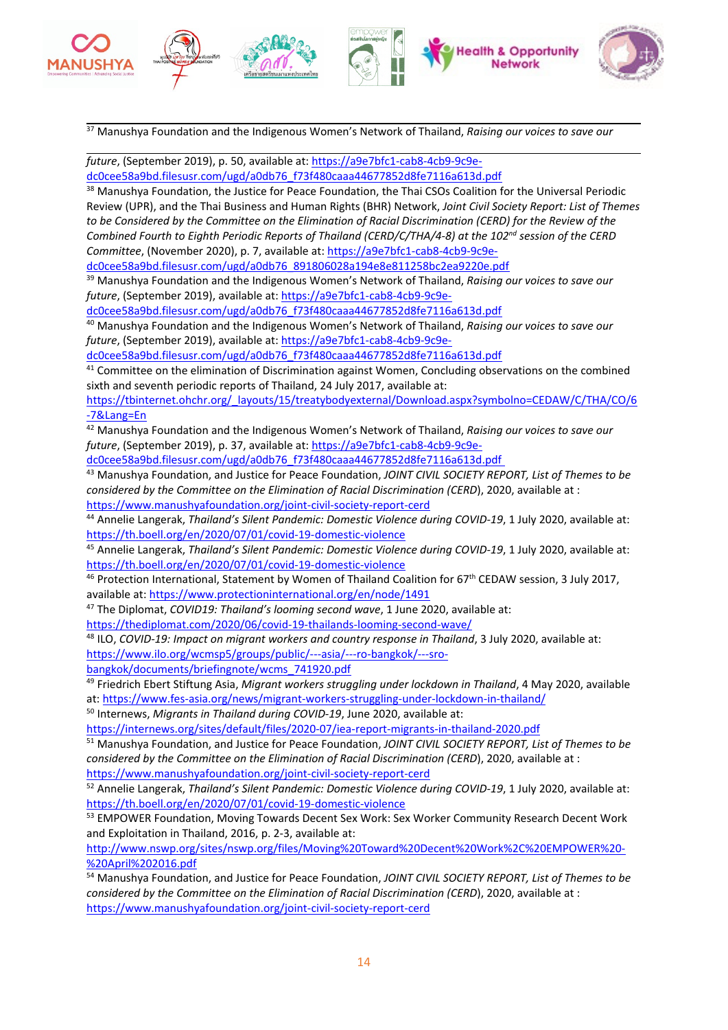

<sup>37</sup> Manushya Foundation and the Indigenous Women'<sup>s</sup> Network of Thailand, *Raising our voices to save our*

*future*, (September 2019), p. 50, available at: [https://a9e7bfc1-cab8-4cb9-9c9e](https://a9e7bfc1-cab8-4cb9-9c9e-dc0cee58a9bd.filesusr.com/ugd/a0db76_f73f480caaa44677852d8fe7116a613d.pdf)[dc0cee58a9bd.filesusr.com/ugd/a0db76\\_f73f480caaa44677852d8fe7116a613d.pdf](https://a9e7bfc1-cab8-4cb9-9c9e-dc0cee58a9bd.filesusr.com/ugd/a0db76_f73f480caaa44677852d8fe7116a613d.pdf)

<sup>38</sup> Manushya Foundation, the Justice for Peace Foundation, the Thai CSOs Coalition for the Universal Periodic Review (UPR), and the Thai Business and Human Rights (BHR) Network, *Joint Civil Society Report: List of Themes* to be Considered by the Committee on the Elimination of Racial Discrimination (CERD) for the Review of the *Combined Fourth to Eighth Periodic Reports of Thailand (CERD/C/THA/4-8) at the <sup>102</sup>nd session of the CERD Committee*, (November 2020), p. 7, available at: [https://a9e7bfc1-cab8-4cb9-9c9e-](https://a9e7bfc1-cab8-4cb9-9c9e-dc0cee58a9bd.filesusr.com/ugd/a0db76_891806028a194e8e811258bc2ea9220e.pdf)

[dc0cee58a9bd.filesusr.com/ugd/a0db76\\_891806028a194e8e811258bc2ea9220e.pdf](https://a9e7bfc1-cab8-4cb9-9c9e-dc0cee58a9bd.filesusr.com/ugd/a0db76_891806028a194e8e811258bc2ea9220e.pdf)

<sup>39</sup> Manushya Foundation and the Indigenous Women'<sup>s</sup> Network of Thailand, *Raising our voices to save our future*, (September 2019), available at: [https://a9e7bfc1-cab8-4cb9-9c9e-](https://a9e7bfc1-cab8-4cb9-9c9e-dc0cee58a9bd.filesusr.com/ugd/a0db76_f73f480caaa44677852d8fe7116a613d.pdf)

[dc0cee58a9bd.filesusr.com/ugd/a0db76\\_f73f480caaa44677852d8fe7116a613d.pdf](https://a9e7bfc1-cab8-4cb9-9c9e-dc0cee58a9bd.filesusr.com/ugd/a0db76_f73f480caaa44677852d8fe7116a613d.pdf)

<sup>40</sup> Manushya Foundation and the Indigenous Women'<sup>s</sup> Network of Thailand, *Raising our voices to save our future*, (September 2019), available at: [https://a9e7bfc1-cab8-4cb9-9c9e-](https://a9e7bfc1-cab8-4cb9-9c9e-dc0cee58a9bd.filesusr.com/ugd/a0db76_f73f480caaa44677852d8fe7116a613d.pdf)

[dc0cee58a9bd.filesusr.com/ugd/a0db76\\_f73f480caaa44677852d8fe7116a613d.pdf](https://a9e7bfc1-cab8-4cb9-9c9e-dc0cee58a9bd.filesusr.com/ugd/a0db76_f73f480caaa44677852d8fe7116a613d.pdf)

 $41$  Committee on the elimination of Discrimination against Women, Concluding observations on the combined sixth and seventh periodic reports of Thailand, 24 July 2017, available at:

[https://tbinternet.ohchr.org/\\_layouts/15/treatybodyexternal/Download.aspx?symbolno=CEDAW/C/THA/CO/6](https://tbinternet.ohchr.org/_layouts/15/treatybodyexternal/Download.aspx?symbolno=CEDAW/C/THA/CO/6-7&Lang=En) [-7&Lang=En](https://tbinternet.ohchr.org/_layouts/15/treatybodyexternal/Download.aspx?symbolno=CEDAW/C/THA/CO/6-7&Lang=En)

<sup>42</sup> Manushya Foundation and the Indigenous Women'<sup>s</sup> Network of Thailand, *Raising our voices to save our future*, (September 2019), p. 37, available at: [https://a9e7bfc1-cab8-4cb9-9c9e-](https://a9e7bfc1-cab8-4cb9-9c9e-dc0cee58a9bd.filesusr.com/ugd/a0db76_f73f480caaa44677852d8fe7116a613d.pdf)

[dc0cee58a9bd.filesusr.com/ugd/a0db76\\_f73f480caaa44677852d8fe7116a613d.pdf](https://a9e7bfc1-cab8-4cb9-9c9e-dc0cee58a9bd.filesusr.com/ugd/a0db76_f73f480caaa44677852d8fe7116a613d.pdf)

<sup>43</sup> Manushya Foundation, and Justice for Peace Foundation, *JOINT CIVIL SOCIETY REPORT, List of Themes to be considered by the Committee on the Elimination of Racial Discrimination (CERD*), 2020, available at : <https://www.manushyafoundation.org/joint-civil-society-report-cerd>

44 Annelie Langerak, *Thailand'<sup>s</sup> Silent Pandemic: Domestic Violence during COVID-19*, 1 July 2020, available at: <https://th.boell.org/en/2020/07/01/covid-19-domestic-violence>

45 Annelie Langerak, *Thailand'<sup>s</sup> Silent Pandemic: Domestic Violence during COVID-19*, 1 July 2020, available at: <https://th.boell.org/en/2020/07/01/covid-19-domestic-violence>

<sup>46</sup> Protection International, Statement by Women of Thailand Coalition for 67<sup>th</sup> CEDAW session, 3 July 2017, available at: <https://www.protectioninternational.org/en/node/1491>

47 The Diplomat, *COVID19: Thailand'<sup>s</sup> looming second wave*, 1 June 2020, available at:

<https://thediplomat.com/2020/06/covid-19-thailands-looming-second-wave/>

48 ILO, *COVID-19: Impact on migrant workers and country response in Thailand*, 3 July 2020, available at:

[https://www.ilo.org/wcmsp5/groups/public/---asia/---ro-bangkok/---sro-](https://www.ilo.org/wcmsp5/groups/public/---asia/---ro-bangkok/---sro-bangkok/documents/briefingnote/wcms_741920.pdf)

[bangkok/documents/briefingnote/wcms\\_741920.pdf](https://www.ilo.org/wcmsp5/groups/public/---asia/---ro-bangkok/---sro-bangkok/documents/briefingnote/wcms_741920.pdf)

49 Friedrich Ebert Stiftung Asia, *Migrant workers struggling under lockdown in Thailand*, 4 May 2020, available at: <https://www.fes-asia.org/news/migrant-workers-struggling-under-lockdown-in-thailand/>

50 Internews, *Migrants in Thailand during COVID-19*, June 2020, available at:

<https://internews.org/sites/default/files/2020-07/iea-report-migrants-in-thailand-2020.pdf>

<sup>51</sup> Manushya Foundation, and Justice for Peace Foundation, *JOINT CIVIL SOCIETY REPORT, List of Themes to be considered by the Committee on the Elimination of Racial Discrimination (CERD*), 2020, available at : <https://www.manushyafoundation.org/joint-civil-society-report-cerd>

52 Annelie Langerak, *Thailand'<sup>s</sup> Silent Pandemic: Domestic Violence during COVID-19*, 1 July 2020, available at: <https://th.boell.org/en/2020/07/01/covid-19-domestic-violence>

<sup>53</sup> EMPOWER Foundation, Moving Towards Decent Sex Work: Sex Worker Community Research Decent Work and Exploitation in Thailand, 2016, p. 2-3, available at:

[http://www.nswp.org/sites/nswp.org/files/Moving%20Toward%20Decent%20Work%2C%20EMPOWER%20-](http://www.nswp.org/sites/nswp.org/files/Moving%20Toward%20Decent%20Work%2C%20EMPOWER%20-%20April%202016.pdf) [%20April%202016.pdf](http://www.nswp.org/sites/nswp.org/files/Moving%20Toward%20Decent%20Work%2C%20EMPOWER%20-%20April%202016.pdf)

<sup>54</sup> Manushya Foundation, and Justice for Peace Foundation, *JOINT CIVIL SOCIETY REPORT, List of Themes to be considered by the Committee on the Elimination of Racial Discrimination (CERD*), 2020, available at : <https://www.manushyafoundation.org/joint-civil-society-report-cerd>